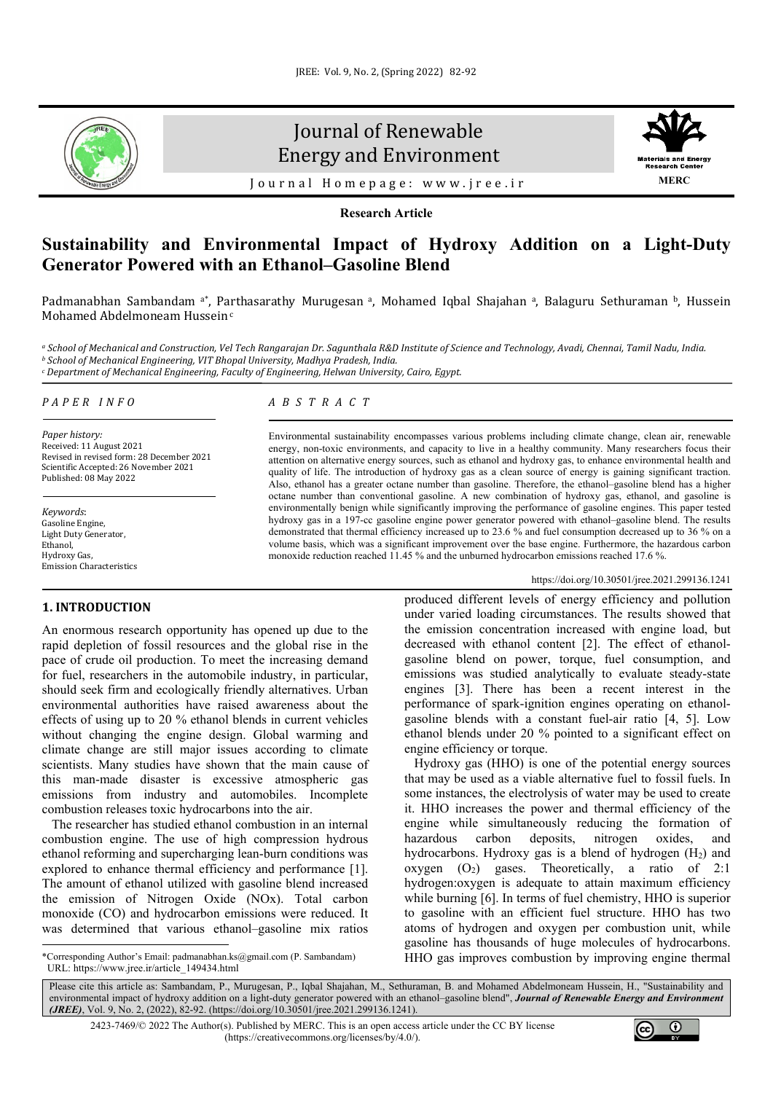

# Journal of Renewable Energy and Environment



Journal Homepage: [www.jree.ir](http://www.jree.ir/)

**Research Article**

## **Sustainability and Environmental Impact of Hydroxy Addition on a Light-Duty Generator Powered with an Ethanol–Gasoline Blend**

Padmanabhan Sambandam <sup>a\*</sup>, Parthasarathy Murugesan <sup>a</sup>, Mohamed Iqbal Shajahan <sup>a</sup>, Balaguru Sethuraman <sup>b</sup>, Hussein Mohamed Abdelmoneam Hussein<sup>c</sup>

a School of Mechanical and Construction, Vel Tech Rangarajan Dr. Sagunthala R&D Institute of Science and Technology, Avadi, Chennai, Tamil Nadu, India.<br>b School of Mechanical Engineering, VIT Bhopal University, Madhya Prad *<sup>c</sup> Department of Mechanical Engineering, Faculty of Engineering, Helwan University, Cairo, Egypt.*

*PAPER INFO*

*Paper history:* Received: 11 August 2021 Revised in revised form: 28 December 2021 Scientific Accepted: 26 November 2021 Published: 08 May 2022

*Keywords*: Gasoline Engine, Light Duty Generator, Ethanol Hydroxy Gas, Emission Characteristics

## **1. INTRODUCTION[1](#page-0-0)**

An enormous research opportunity has opened up due to the rapid depletion of fossil resources and the global rise in the pace of crude oil production. To meet the increasing demand for fuel, researchers in the automobile industry, in particular, should seek firm and ecologically friendly alternatives. Urban environmental authorities have raised awareness about the effects of using up to 20 % ethanol blends in current vehicles without changing the engine design. Global warming and climate change are still major issues according to climate scientists. Many studies have shown that the main cause of this man-made disaster is excessive atmospheric gas emissions from industry and automobiles. Incomplete combustion releases toxic hydrocarbons into the air.

 The researcher has studied ethanol combustion in an internal combustion engine. The use of high compression hydrous ethanol reforming and supercharging lean-burn conditions was explored to enhance thermal efficiency and performance [1]. The amount of ethanol utilized with gasoline blend increased the emission of Nitrogen Oxide (NOx). Total carbon monoxide (CO) and hydrocarbon emissions were reduced. It was determined that various ethanol–gasoline mix ratios

## *ABSTRACT*

Environmental sustainability encompasses various problems including climate change, clean air, renewable energy, non-toxic environments, and capacity to live in a healthy community. Many researchers focus their attention on alternative energy sources, such as ethanol and hydroxy gas, to enhance environmental health and quality of life. The introduction of hydroxy gas as a clean source of energy is gaining significant traction. Also, ethanol has a greater octane number than gasoline. Therefore, the ethanol–gasoline blend has a higher octane number than conventional gasoline. A new combination of hydroxy gas, ethanol, and gasoline is environmentally benign while significantly improving the performance of gasoline engines. This paper tested hydroxy gas in a 197-cc gasoline engine power generator powered with ethanol–gasoline blend. The results demonstrated that thermal efficiency increased up to 23.6 % and fuel consumption decreased up to 36 % on a volume basis, which was a significant improvement over the base engine. Furthermore, the hazardous carbon monoxide reduction reached 11.45 % and the unburned hydrocarbon emissions reached 17.6 %.

### <https://doi.org/10.30501/jree.2021.299136.1241>

produced different levels of energy efficiency and pollution under varied loading circumstances. The results showed that the emission concentration increased with engine load, but decreased with ethanol content [2]. The effect of ethanolgasoline blend on power, torque, fuel consumption, and emissions was studied analytically to evaluate steady-state engines [3]. There has been a recent interest in the performance of spark-ignition engines operating on ethanolgasoline blends with a constant fuel-air ratio [4, 5]. Low ethanol blends under 20 % pointed to a significant effect on engine efficiency or torque.

 Hydroxy gas (HHO) is one of the potential energy sources that may be used as a viable alternative fuel to fossil fuels. In some instances, the electrolysis of water may be used to create it. HHO increases the power and thermal efficiency of the engine while simultaneously reducing the formation of hazardous carbon deposits, nitrogen oxides, and hydrocarbons. Hydroxy gas is a blend of hydrogen  $(H<sub>2</sub>)$  and oxygen  $(O_2)$  gases. Theoretically, a ratio of 2:1 hydrogen:oxygen is adequate to attain maximum efficiency while burning [6]. In terms of fuel chemistry, HHO is superior to gasoline with an efficient fuel structure. HHO has two atoms of hydrogen and oxygen per combustion unit, while gasoline has thousands of huge molecules of hydrocarbons. HHO gas improves combustion by improving engine thermal



<span id="page-0-0"></span><sup>\*</sup>Corresponding Author's Email[: padmanabhan.ks@gmail.com](mailto:padmanabhan.ks@gmail.com) (P. Sambandam) URL[: https://www.jree.ir/article\\_149434.html](https://www.jree.ir/article_149434.html)

Please cite this article as: Sambandam, P., Murugesan, P., Iqbal Shajahan, M., Sethuraman, B. and Mohamed Abdelmoneam Hussein, H., "Sustainability and environmental impact of hydroxy addition on a light-duty generator powered with an ethanol–gasoline blend", *Journal of Renewable Energy and Environment (JREE)*, Vol. 9, No. 2, (2022), 82-92. [\(https://doi.org/10.30501/jree.2021.299136.1241\).](https://doi.org/10.30501/jree.2021.299136.1241)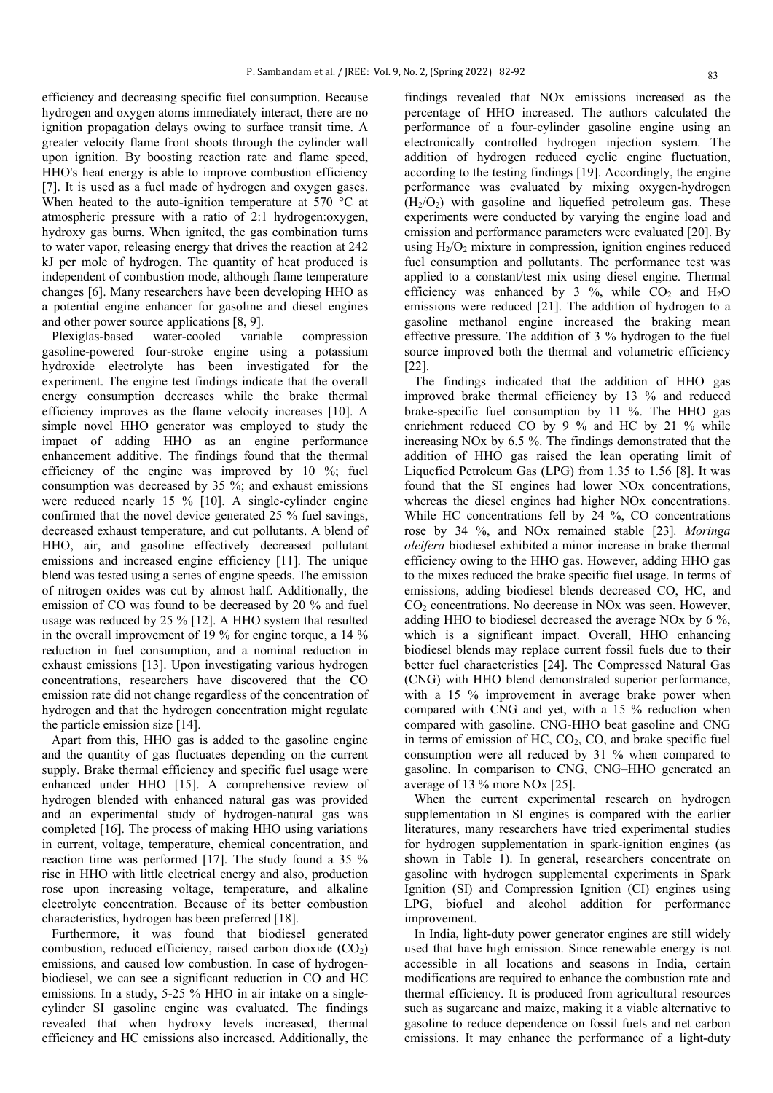efficiency and decreasing specific fuel consumption. Because hydrogen and oxygen atoms immediately interact, there are no ignition propagation delays owing to surface transit time. A greater velocity flame front shoots through the cylinder wall upon ignition. By boosting reaction rate and flame speed, HHO's heat energy is able to improve combustion efficiency [7]. It is used as a fuel made of hydrogen and oxygen gases. When heated to the auto-ignition temperature at 570 °C at atmospheric pressure with a ratio of 2:1 hydrogen:oxygen, hydroxy gas burns. When ignited, the gas combination turns to water vapor, releasing energy that drives the reaction at 242 kJ per mole of hydrogen. The quantity of heat produced is independent of combustion mode, although flame temperature changes [6]. Many researchers have been developing HHO as a potential engine enhancer for gasoline and diesel engines and other power source applications [8, 9].

 Plexiglas-based water-cooled variable compression gasoline-powered four-stroke engine using a potassium hydroxide electrolyte has been investigated for the experiment. The engine test findings indicate that the overall energy consumption decreases while the brake thermal efficiency improves as the flame velocity increases [10]. A simple novel HHO generator was employed to study the impact of adding HHO as an engine performance enhancement additive. The findings found that the thermal efficiency of the engine was improved by 10 %; fuel consumption was decreased by 35 %; and exhaust emissions were reduced nearly 15 % [10]. A single-cylinder engine confirmed that the novel device generated 25 % fuel savings, decreased exhaust temperature, and cut pollutants. A blend of HHO, air, and gasoline effectively decreased pollutant emissions and increased engine efficiency [11]. The unique blend was tested using a series of engine speeds. The emission of nitrogen oxides was cut by almost half. Additionally, the emission of CO was found to be decreased by 20 % and fuel usage was reduced by 25 % [12]. A HHO system that resulted in the overall improvement of 19 % for engine torque, a 14 % reduction in fuel consumption, and a nominal reduction in exhaust emissions [13]. Upon investigating various hydrogen concentrations, researchers have discovered that the CO emission rate did not change regardless of the concentration of hydrogen and that the hydrogen concentration might regulate the particle emission size [14].

 Apart from this, HHO gas is added to the gasoline engine and the quantity of gas fluctuates depending on the current supply. Brake thermal efficiency and specific fuel usage were enhanced under HHO [15]. A comprehensive review of hydrogen blended with enhanced natural gas was provided and an experimental study of hydrogen-natural gas was completed [16]. The process of making HHO using variations in current, voltage, temperature, chemical concentration, and reaction time was performed [17]. The study found a 35 % rise in HHO with little electrical energy and also, production rose upon increasing voltage, temperature, and alkaline electrolyte concentration. Because of its better combustion characteristics, hydrogen has been preferred [18].

 Furthermore, it was found that biodiesel generated combustion, reduced efficiency, raised carbon dioxide  $(CO<sub>2</sub>)$ emissions, and caused low combustion. In case of hydrogenbiodiesel, we can see a significant reduction in CO and HC emissions. In a study, 5-25 % HHO in air intake on a singlecylinder SI gasoline engine was evaluated. The findings revealed that when hydroxy levels increased, thermal efficiency and HC emissions also increased. Additionally, the findings revealed that NOx emissions increased as the percentage of HHO increased. The authors calculated the performance of a four-cylinder gasoline engine using an electronically controlled hydrogen injection system. The addition of hydrogen reduced cyclic engine fluctuation, according to the testing findings [19]. Accordingly, the engine performance was evaluated by mixing oxygen-hydrogen  $(H<sub>2</sub>/O<sub>2</sub>)$  with gasoline and liquefied petroleum gas. These experiments were conducted by varying the engine load and emission and performance parameters were evaluated [20]. By using  $H<sub>2</sub>/O<sub>2</sub>$  mixture in compression, ignition engines reduced fuel consumption and pollutants. The performance test was applied to a constant/test mix using diesel engine. Thermal efficiency was enhanced by 3 %, while  $CO<sub>2</sub>$  and H<sub>2</sub>O emissions were reduced [21]. The addition of hydrogen to a gasoline methanol engine increased the braking mean effective pressure. The addition of 3 % hydrogen to the fuel source improved both the thermal and volumetric efficiency [22].

 The findings indicated that the addition of HHO gas improved brake thermal efficiency by 13 % and reduced brake-specific fuel consumption by 11 %. The HHO gas enrichment reduced CO by 9 % and HC by 21 % while increasing NOx by 6.5 %. The findings demonstrated that the addition of HHO gas raised the lean operating limit of Liquefied Petroleum Gas (LPG) from 1.35 to 1.56 [8]. It was found that the SI engines had lower NOx concentrations, whereas the diesel engines had higher NOx concentrations. While HC concentrations fell by 24 %, CO concentrations rose by 34 %, and NOx remained stable [23]*. Moringa oleifera* biodiesel exhibited a minor increase in brake thermal efficiency owing to the HHO gas. However, adding HHO gas to the mixes reduced the brake specific fuel usage. In terms of emissions, adding biodiesel blends decreased CO, HC, and  $CO<sub>2</sub>$  concentrations. No decrease in NO<sub>x</sub> was seen. However, adding HHO to biodiesel decreased the average NOx by 6 %, which is a significant impact. Overall, HHO enhancing biodiesel blends may replace current fossil fuels due to their better fuel characteristics [24]. The Compressed Natural Gas (CNG) with HHO blend demonstrated superior performance, with a 15 % improvement in average brake power when compared with CNG and yet, with a 15 % reduction when compared with gasoline. CNG-HHO beat gasoline and CNG in terms of emission of  $HC$ ,  $CO<sub>2</sub>$ ,  $CO<sub>3</sub>$ , and brake specific fuel consumption were all reduced by 31 % when compared to gasoline. In comparison to CNG, CNG–HHO generated an average of 13 % more NOx [25].

 When the current experimental research on hydrogen supplementation in SI engines is compared with the earlier literatures, many researchers have tried experimental studies for hydrogen supplementation in spark-ignition engines (as shown in Table 1). In general, researchers concentrate on gasoline with hydrogen supplemental experiments in Spark Ignition (SI) and Compression Ignition (CI) engines using LPG, biofuel and alcohol addition for performance improvement.

 In India, light-duty power generator engines are still widely used that have high emission. Since renewable energy is not accessible in all locations and seasons in India, certain modifications are required to enhance the combustion rate and thermal efficiency. It is produced from agricultural resources such as sugarcane and maize, making it a viable alternative to gasoline to reduce dependence on fossil fuels and net carbon emissions. It may enhance the performance of a light-duty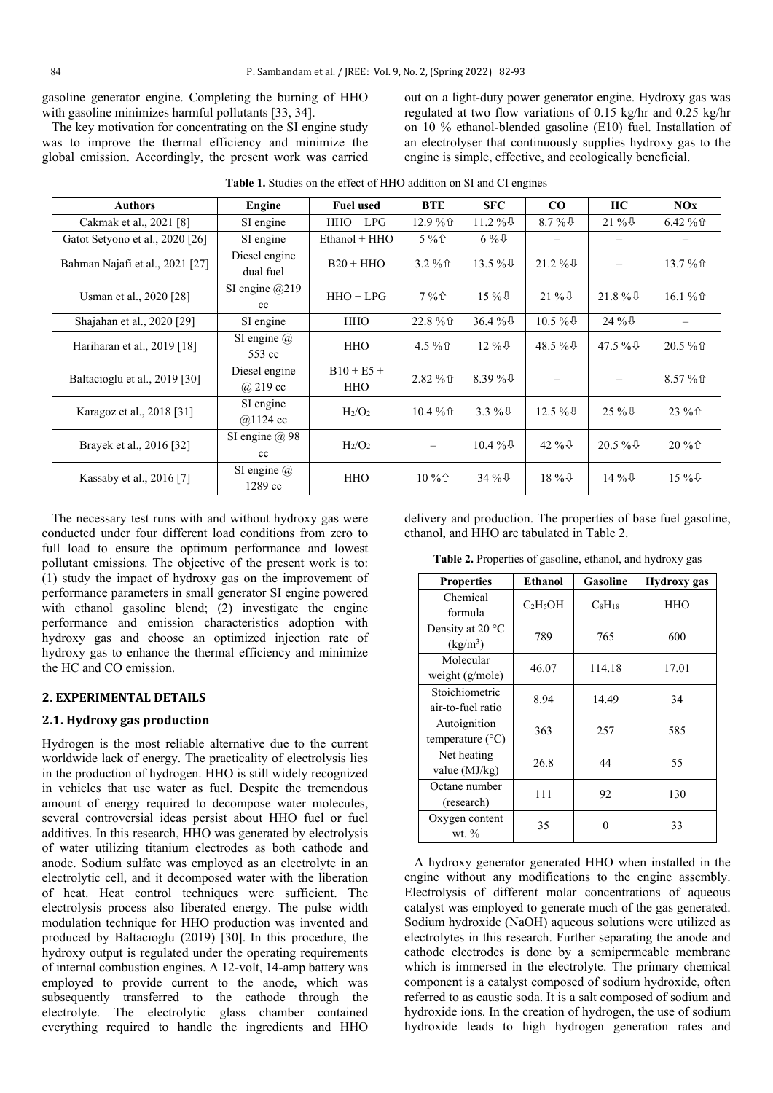gasoline generator engine. Completing the burning of HHO with gasoline minimizes harmful pollutants [33, 34].

 The key motivation for concentrating on the SI engine study was to improve the thermal efficiency and minimize the global emission. Accordingly, the present work was carried out on a light-duty power generator engine. Hydroxy gas was regulated at two flow variations of 0.15 kg/hr and 0.25 kg/hr on 10 % ethanol-blended gasoline (E10) fuel. Installation of an electrolyser that continuously supplies hydroxy gas to the engine is simple, effective, and ecologically beneficial.

| <b>Authors</b>                  | Engine                           | <b>Fuel used</b>               | <b>BTE</b> | <b>SFC</b>        | $\bf CO$          | HC          | NOx      |
|---------------------------------|----------------------------------|--------------------------------|------------|-------------------|-------------------|-------------|----------|
| Cakmak et al., 2021 [8]         | SI engine                        | $HHO + LPG$                    | 12.9%      | $11.2\%$          | $8.7\%$           | $21\%$      | $6.42\%$ |
| Gatot Setyono et al., 2020 [26] | SI engine                        | Ethanol + HHO                  | $5\%$      | $6\%$             |                   | -           |          |
| Bahman Najafi et al., 2021 [27] | Diesel engine<br>dual fuel       | $B20 + HHO$                    | $3.2 \%$   | $13.5\%$          | $21.2\%$          | -           | 13.7%    |
| Usman et al., 2020 [28]         | SI engine $@219$<br>cc           | $HHO + LPG$                    | $7\%$      | $15\%$            | $21\%$            | $21.8\%$    | $16.1\%$ |
| Shajahan et al., 2020 [29]      | SI engine                        | <b>HHO</b>                     | 22.8 % 介   | 36.4% $\sqrt{4}$  | 10.5 % $\sqrt{0}$ | $24\%$      |          |
| Hariharan et al., 2019 [18]     | SI engine $\omega$<br>553 cc     | <b>HHO</b>                     | 4.5 % 企    | $12\%$            | 48.5 % $\sqrt{6}$ | 47.5 % $\&$ | $20.5\%$ |
| Baltacioglu et al., 2019 [30]   | Diesel engine<br>$\omega$ 219 cc | $B10 + E5 +$<br><b>HHO</b>     | $2.82\%$   | 8.39 % $\sqrt{1}$ | $\qquad \qquad -$ | -           | 8.57%    |
| Karagoz et al., 2018 [31]       | SI engine<br>$@1124$ cc          | H <sub>2</sub> /O <sub>2</sub> | $10.4\%$   | 3.3 % $\sqrt{4}$  | $12.5\%$          | $25\%$      | 23 % 企   |
| Brayek et al., 2016 [32]        | SI engine $(a)$ 98<br>cc         | $H_2/O_2$                      |            | $10.4\%$          | 42 % $\sqrt{0}$   | $20.5\%$    | $20\%$   |
| Kassaby et al., 2016 [7]        | SI engine $(a)$<br>1289 cc       | <b>HHO</b>                     | $10\%$     | $34\%$            | $18\%$            | $14\%$      | $15\%$   |

**Table 1.** Studies on the effect of HHO addition on SI and CI engines

 The necessary test runs with and without hydroxy gas were conducted under four different load conditions from zero to full load to ensure the optimum performance and lowest pollutant emissions. The objective of the present work is to: (1) study the impact of hydroxy gas on the improvement of performance parameters in small generator SI engine powered with ethanol gasoline blend; (2) investigate the engine performance and emission characteristics adoption with hydroxy gas and choose an optimized injection rate of hydroxy gas to enhance the thermal efficiency and minimize the HC and CO emission.

#### **2. EXPERIMENTAL DETAILS**

#### **2.1. Hydroxy gas production**

Hydrogen is the most reliable alternative due to the current worldwide lack of energy. The practicality of electrolysis lies in the production of hydrogen. HHO is still widely recognized in vehicles that use water as fuel. Despite the tremendous amount of energy required to decompose water molecules, several controversial ideas persist about HHO fuel or fuel additives. In this research, HHO was generated by electrolysis of water utilizing titanium electrodes as both cathode and anode. Sodium sulfate was employed as an electrolyte in an electrolytic cell, and it decomposed water with the liberation of heat. Heat control techniques were sufficient. The electrolysis process also liberated energy. The pulse width modulation technique for HHO production was invented and produced by Baltacıoglu (2019) [30]. In this procedure, the hydroxy output is regulated under the operating requirements of internal combustion engines. A 12-volt, 14-amp battery was employed to provide current to the anode, which was subsequently transferred to the cathode through the electrolyte. The electrolytic glass chamber contained everything required to handle the ingredients and HHO

delivery and production. The properties of base fuel gasoline, ethanol, and HHO are tabulated in Table 2.

**Table 2.** Properties of gasoline, ethanol, and hydroxy gas

| <b>Properties</b>                         | Ethanol    | Gasoline    | <b>Hydroxy</b> gas |
|-------------------------------------------|------------|-------------|--------------------|
| Chemical<br>formula                       | $C_2H_5OH$ | $C_8H_{18}$ | HHO                |
| Density at 20 $\degree$ C<br>$(kg/m^3)$   | 789        | 765         | 600                |
| Molecular<br>weight $(g/mole)$            | 46.07      | 114.18      | 17.01              |
| Stoichiometric<br>air-to-fuel ratio       | 8.94       | 14.49       | 34                 |
| Autoignition<br>temperature $(^{\circ}C)$ | 363        | 257         | 585                |
| Net heating<br>value (MJ/kg)              | 26.8       | 44          | 55                 |
| Octane number<br>(research)               | 111        | 92          | 130                |
| Oxygen content<br>wt. $\%$                | 35         | 0           | 33                 |

 A hydroxy generator generated HHO when installed in the engine without any modifications to the engine assembly. Electrolysis of different molar concentrations of aqueous catalyst was employed to generate much of the gas generated. Sodium hydroxide (NaOH) aqueous solutions were utilized as electrolytes in this research. Further separating the anode and cathode electrodes is done by a semipermeable membrane which is immersed in the electrolyte. The primary chemical component is a catalyst composed of sodium hydroxide, often referred to as caustic soda. It is a salt composed of sodium and hydroxide ions. In the creation of hydrogen, the use of sodium hydroxide leads to high hydrogen generation rates and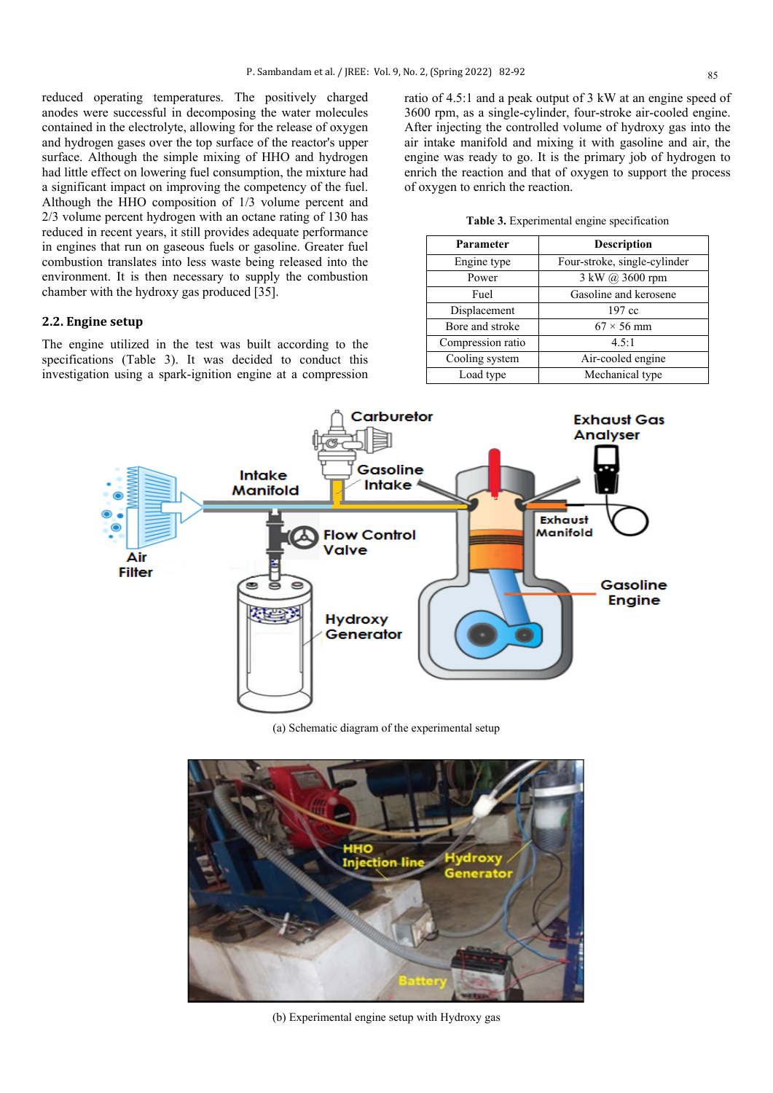reduced operating temperatures. The positively charged anodes were successful in decomposing the water molecules contained in the electrolyte, allowing for the release of oxygen and hydrogen gases over the top surface of the reactor's upper surface. Although the simple mixing of HHO and hydrogen had little effect on lowering fuel consumption, the mixture had a significant impact on improving the competency of the fuel. Although the HHO composition of 1/3 volume percent and 2/3 volume percent hydrogen with an octane rating of 130 has reduced in recent years, it still provides adequate performance in engines that run on gaseous fuels or gasoline. Greater fuel combustion translates into less waste being released into the environment. It is then necessary to supply the combustion chamber with the hydroxy gas produced [35].

## **2.2. Engine setup**

The engine utilized in the test was built according to the specifications (Table 3). It was decided to conduct this investigation using a spark-ignition engine at a compression ratio of 4.5:1 and a peak output of 3 kW at an engine speed of 3600 rpm, as a single-cylinder, four-stroke air-cooled engine. After injecting the controlled volume of hydroxy gas into the air intake manifold and mixing it with gasoline and air, the engine was ready to go. It is the primary job of hydrogen to enrich the reaction and that of oxygen to support the process of oxygen to enrich the reaction.

**Table 3.** Experimental engine specification

| Parameter         | <b>Description</b>           |  |  |
|-------------------|------------------------------|--|--|
| Engine type       | Four-stroke, single-cylinder |  |  |
| Power             | 3 kW @ 3600 rpm              |  |  |
| Fuel              | Gasoline and kerosene        |  |  |
| Displacement      | 197 cc                       |  |  |
| Bore and stroke   | $67 \times 56$ mm            |  |  |
| Compression ratio | 4.5:1                        |  |  |
| Cooling system    | Air-cooled engine            |  |  |
| Load type         | Mechanical type              |  |  |



(a) Schematic diagram of the experimental setup



(b) Experimental engine setup with Hydroxy gas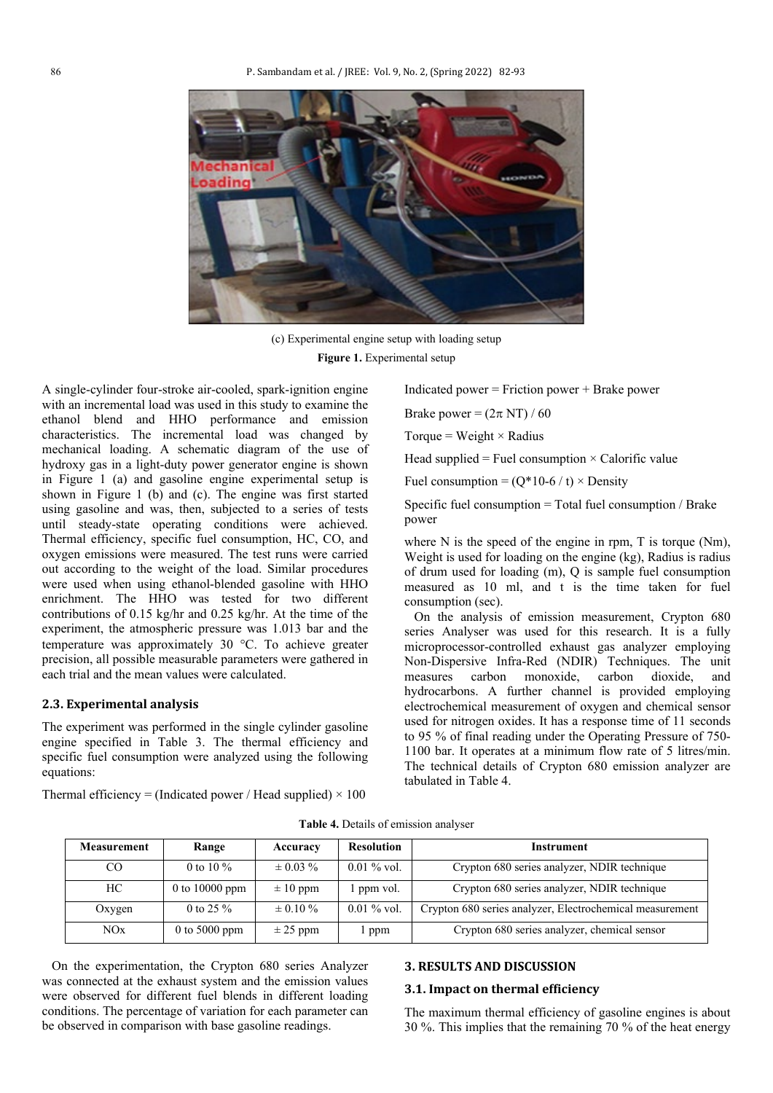

(c) Experimental engine setup with loading setup **Figure 1.** Experimental setup

A single-cylinder four-stroke air-cooled, spark-ignition engine with an incremental load was used in this study to examine the ethanol blend and HHO performance and emission characteristics. The incremental load was changed by mechanical loading. A schematic diagram of the use of hydroxy gas in a light-duty power generator engine is shown in Figure 1 (a) and gasoline engine experimental setup is shown in Figure 1 (b) and (c). The engine was first started using gasoline and was, then, subjected to a series of tests until steady-state operating conditions were achieved. Thermal efficiency, specific fuel consumption, HC, CO, and oxygen emissions were measured. The test runs were carried out according to the weight of the load. Similar procedures were used when using ethanol-blended gasoline with HHO enrichment. The HHO was tested for two different contributions of 0.15 kg/hr and 0.25 kg/hr. At the time of the experiment, the atmospheric pressure was 1.013 bar and the temperature was approximately 30 °C. To achieve greater precision, all possible measurable parameters were gathered in each trial and the mean values were calculated.

#### **2.3. Experimental analysis**

The experiment was performed in the single cylinder gasoline engine specified in Table 3. The thermal efficiency and specific fuel consumption were analyzed using the following equations:

Thermal efficiency = (Indicated power / Head supplied)  $\times$  100

Indicated power = Friction power + Brake power

Brake power =  $(2\pi N T)/60$ 

Torque = Weight  $\times$  Radius

Head supplied = Fuel consumption  $\times$  Calorific value

Fuel consumption =  $(Q*10-6 / t) \times$  Density

Specific fuel consumption = Total fuel consumption / Brake power

where N is the speed of the engine in rpm, T is torque (Nm), Weight is used for loading on the engine (kg), Radius is radius of drum used for loading (m), Q is sample fuel consumption measured as 10 ml, and t is the time taken for fuel consumption (sec).

 On the analysis of emission measurement, Crypton 680 series Analyser was used for this research. It is a fully microprocessor-controlled exhaust gas analyzer employing Non-Dispersive Infra-Red (NDIR) Techniques. The unit measures carbon monoxide, carbon dioxide, and hydrocarbons. A further channel is provided employing electrochemical measurement of oxygen and chemical sensor used for nitrogen oxides. It has a response time of 11 seconds to 95 % of final reading under the Operating Pressure of 750- 1100 bar. It operates at a minimum flow rate of 5 litres/min. The technical details of Crypton 680 emission analyzer are tabulated in Table 4.

| <b>Measurement</b> | Range            | Accuracy      | <b>Resolution</b> | <b>Instrument</b>                                        |
|--------------------|------------------|---------------|-------------------|----------------------------------------------------------|
| CO                 | 0 to 10 $\%$     | $\pm 0.03 \%$ | $0.01\%$ vol.     | Crypton 680 series analyzer, NDIR technique              |
| HС                 | 0 to $10000$ ppm | $\pm 10$ ppm  | ppm vol.          | Crypton 680 series analyzer, NDIR technique              |
| Oxygen             | 0 to 25 $\%$     | $\pm 0.10 \%$ | $0.01\%$ vol.     | Crypton 680 series analyzer, Electrochemical measurement |
| NOx                | 0 to 5000 ppm    | $\pm$ 25 ppm  | l ppm             | Crypton 680 series analyzer, chemical sensor             |

**Table 4.** Details of emission analyser

 On the experimentation, the Crypton 680 series Analyzer was connected at the exhaust system and the emission values were observed for different fuel blends in different loading conditions. The percentage of variation for each parameter can be observed in comparison with base gasoline readings.

#### **3. RESULTS AND DISCUSSION**

#### **3.1. Impact on thermal efficiency**

The maximum thermal efficiency of gasoline engines is about 30 %. This implies that the remaining 70 % of the heat energy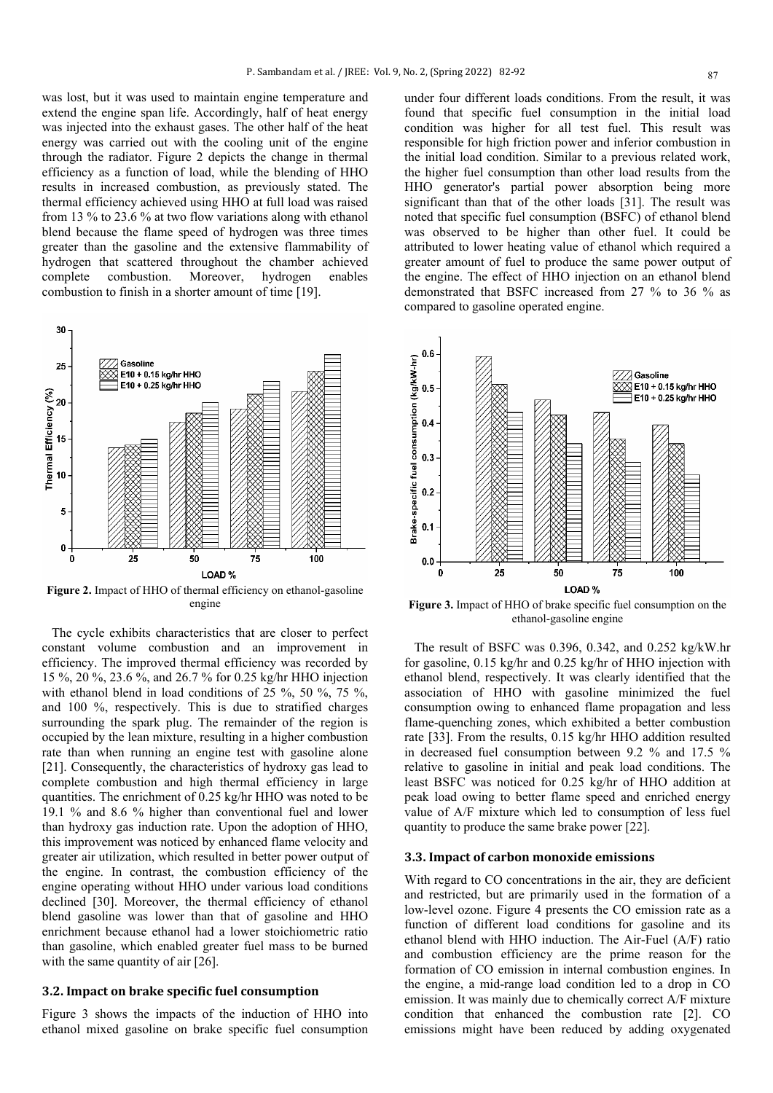was lost, but it was used to maintain engine temperature and extend the engine span life. Accordingly, half of heat energy was injected into the exhaust gases. The other half of the heat energy was carried out with the cooling unit of the engine through the radiator. Figure 2 depicts the change in thermal efficiency as a function of load, while the blending of HHO results in increased combustion, as previously stated. The thermal efficiency achieved using HHO at full load was raised from 13 % to 23.6 % at two flow variations along with ethanol blend because the flame speed of hydrogen was three times greater than the gasoline and the extensive flammability of hydrogen that scattered throughout the chamber achieved complete combustion. Moreover, hydrogen enables combustion to finish in a shorter amount of time [19].



**Figure 2.** Impact of HHO of thermal efficiency on ethanol-gasoline engine

 The cycle exhibits characteristics that are closer to perfect constant volume combustion and an improvement in efficiency. The improved thermal efficiency was recorded by 15 %, 20 %, 23.6 %, and 26.7 % for 0.25 kg/hr HHO injection with ethanol blend in load conditions of 25 %, 50 %, 75 %, and 100 %, respectively. This is due to stratified charges surrounding the spark plug. The remainder of the region is occupied by the lean mixture, resulting in a higher combustion rate than when running an engine test with gasoline alone [21]. Consequently, the characteristics of hydroxy gas lead to complete combustion and high thermal efficiency in large quantities. The enrichment of 0.25 kg/hr HHO was noted to be 19.1 % and 8.6 % higher than conventional fuel and lower than hydroxy gas induction rate. Upon the adoption of HHO, this improvement was noticed by enhanced flame velocity and greater air utilization, which resulted in better power output of the engine. In contrast, the combustion efficiency of the engine operating without HHO under various load conditions declined [30]. Moreover, the thermal efficiency of ethanol blend gasoline was lower than that of gasoline and HHO enrichment because ethanol had a lower stoichiometric ratio than gasoline, which enabled greater fuel mass to be burned with the same quantity of air [26].

## **3.2. Impact on brake specific fuel consumption**

Figure 3 shows the impacts of the induction of HHO into ethanol mixed gasoline on brake specific fuel consumption under four different loads conditions. From the result, it was found that specific fuel consumption in the initial load condition was higher for all test fuel. This result was responsible for high friction power and inferior combustion in the initial load condition. Similar to a previous related work, the higher fuel consumption than other load results from the HHO generator's partial power absorption being more significant than that of the other loads [31]. The result was noted that specific fuel consumption (BSFC) of ethanol blend was observed to be higher than other fuel. It could be attributed to lower heating value of ethanol which required a greater amount of fuel to produce the same power output of the engine. The effect of HHO injection on an ethanol blend demonstrated that BSFC increased from 27 % to 36 % as compared to gasoline operated engine.



**Figure 3.** Impact of HHO of brake specific fuel consumption on the ethanol-gasoline engine

 The result of BSFC was 0.396, 0.342, and 0.252 kg/kW.hr for gasoline, 0.15 kg/hr and 0.25 kg/hr of HHO injection with ethanol blend, respectively. It was clearly identified that the association of HHO with gasoline minimized the fuel consumption owing to enhanced flame propagation and less flame-quenching zones, which exhibited a better combustion rate [33]. From the results, 0.15 kg/hr HHO addition resulted in decreased fuel consumption between 9.2 % and 17.5 % relative to gasoline in initial and peak load conditions. The least BSFC was noticed for 0.25 kg/hr of HHO addition at peak load owing to better flame speed and enriched energy value of A/F mixture which led to consumption of less fuel quantity to produce the same brake power [22].

#### **3.3. Impact of carbon monoxide emissions**

With regard to CO concentrations in the air, they are deficient and restricted, but are primarily used in the formation of a low-level ozone. Figure 4 presents the CO emission rate as a function of different load conditions for gasoline and its ethanol blend with HHO induction. The Air-Fuel (A/F) ratio and combustion efficiency are the prime reason for the formation of CO emission in internal combustion engines. In the engine, a mid-range load condition led to a drop in CO emission. It was mainly due to chemically correct A/F mixture condition that enhanced the combustion rate [2]. CO emissions might have been reduced by adding oxygenated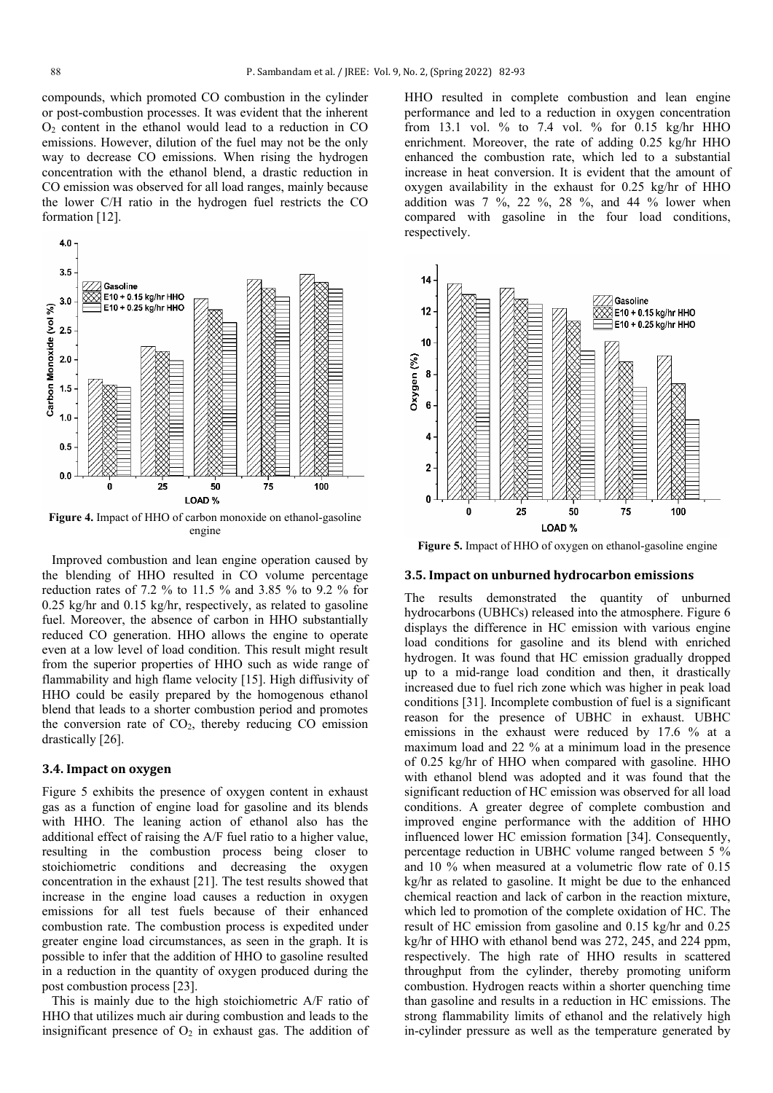compounds, which promoted CO combustion in the cylinder or post-combustion processes. It was evident that the inherent  $O<sub>2</sub>$  content in the ethanol would lead to a reduction in CO emissions. However, dilution of the fuel may not be the only way to decrease CO emissions. When rising the hydrogen concentration with the ethanol blend, a drastic reduction in CO emission was observed for all load ranges, mainly because the lower C/H ratio in the hydrogen fuel restricts the CO formation [12].



**Figure 4.** Impact of HHO of carbon monoxide on ethanol-gasoline engine

 Improved combustion and lean engine operation caused by the blending of HHO resulted in CO volume percentage reduction rates of 7.2 % to 11.5 % and 3.85 % to 9.2 % for 0.25 kg/hr and 0.15 kg/hr, respectively, as related to gasoline fuel. Moreover, the absence of carbon in HHO substantially reduced CO generation. HHO allows the engine to operate even at a low level of load condition. This result might result from the superior properties of HHO such as wide range of flammability and high flame velocity [15]. High diffusivity of HHO could be easily prepared by the homogenous ethanol blend that leads to a shorter combustion period and promotes the conversion rate of  $CO<sub>2</sub>$ , thereby reducing CO emission drastically [26].

#### **3.4. Impact on oxygen**

Figure 5 exhibits the presence of oxygen content in exhaust gas as a function of engine load for gasoline and its blends with HHO. The leaning action of ethanol also has the additional effect of raising the A/F fuel ratio to a higher value, resulting in the combustion process being closer to stoichiometric conditions and decreasing the oxygen concentration in the exhaust [21]. The test results showed that increase in the engine load causes a reduction in oxygen emissions for all test fuels because of their enhanced combustion rate. The combustion process is expedited under greater engine load circumstances, as seen in the graph. It is possible to infer that the addition of HHO to gasoline resulted in a reduction in the quantity of oxygen produced during the post combustion process [23].

 This is mainly due to the high stoichiometric A/F ratio of HHO that utilizes much air during combustion and leads to the insignificant presence of  $O_2$  in exhaust gas. The addition of HHO resulted in complete combustion and lean engine performance and led to a reduction in oxygen concentration from 13.1 vol. % to 7.4 vol. % for 0.15 kg/hr HHO enrichment. Moreover, the rate of adding 0.25 kg/hr HHO enhanced the combustion rate, which led to a substantial increase in heat conversion. It is evident that the amount of oxygen availability in the exhaust for 0.25 kg/hr of HHO addition was  $7 \frac{9}{6}$ ,  $22 \frac{9}{6}$ ,  $28 \frac{9}{6}$ , and  $44 \frac{9}{6}$  lower when compared with gasoline in the four load conditions, respectively.



**Figure 5.** Impact of HHO of oxygen on ethanol-gasoline engine

## **3.5. Impact on unburned hydrocarbon emissions**

The results demonstrated the quantity of unburned hydrocarbons (UBHCs) released into the atmosphere. Figure 6 displays the difference in HC emission with various engine load conditions for gasoline and its blend with enriched hydrogen. It was found that HC emission gradually dropped up to a mid-range load condition and then, it drastically increased due to fuel rich zone which was higher in peak load conditions [31]. Incomplete combustion of fuel is a significant reason for the presence of UBHC in exhaust. UBHC emissions in the exhaust were reduced by 17.6 % at a maximum load and 22 % at a minimum load in the presence of 0.25 kg/hr of HHO when compared with gasoline. HHO with ethanol blend was adopted and it was found that the significant reduction of HC emission was observed for all load conditions. A greater degree of complete combustion and improved engine performance with the addition of HHO influenced lower HC emission formation [34]. Consequently, percentage reduction in UBHC volume ranged between 5 % and 10 % when measured at a volumetric flow rate of 0.15 kg/hr as related to gasoline. It might be due to the enhanced chemical reaction and lack of carbon in the reaction mixture, which led to promotion of the complete oxidation of HC. The result of HC emission from gasoline and 0.15 kg/hr and 0.25 kg/hr of HHO with ethanol bend was 272, 245, and 224 ppm, respectively. The high rate of HHO results in scattered throughput from the cylinder, thereby promoting uniform combustion. Hydrogen reacts within a shorter quenching time than gasoline and results in a reduction in HC emissions. The strong flammability limits of ethanol and the relatively high in-cylinder pressure as well as the temperature generated by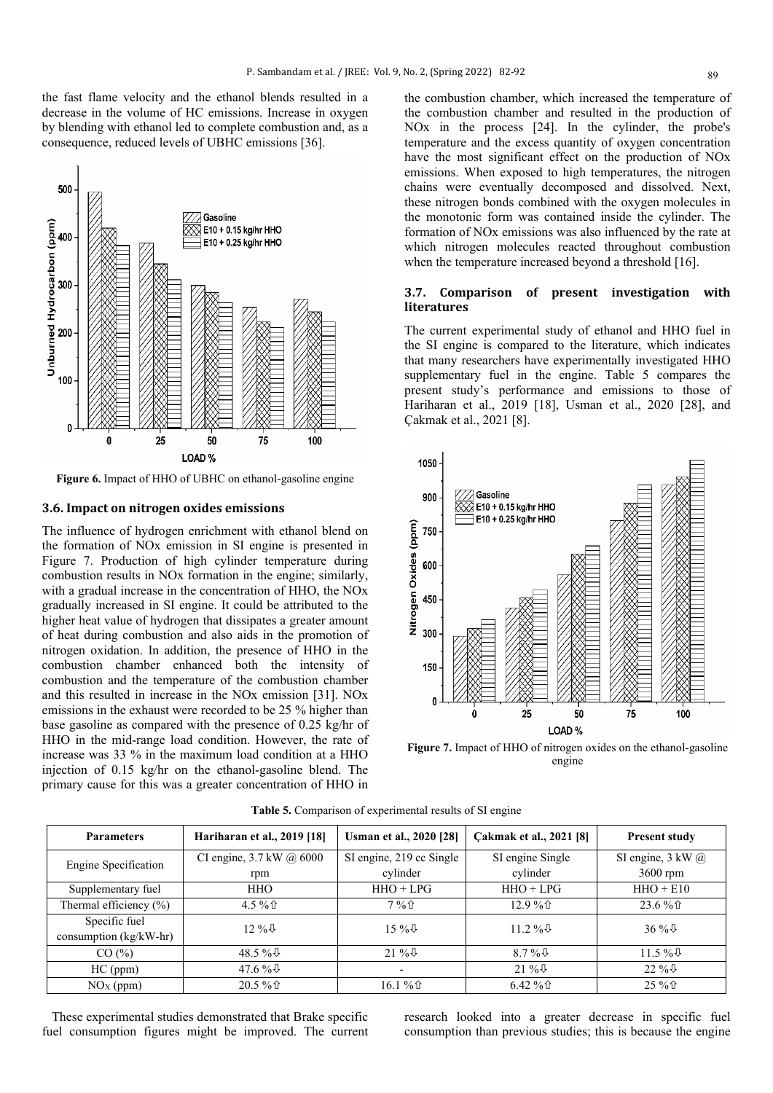the fast flame velocity and the ethanol blends resulted in a decrease in the volume of HC emissions. Increase in oxygen by blending with ethanol led to complete combustion and, as a consequence, reduced levels of UBHC emissions [36].



**Figure 6.** Impact of HHO of UBHC on ethanol-gasoline engine

## **3.6. Impact on nitrogen oxides emissions**

The influence of hydrogen enrichment with ethanol blend on the formation of NOx emission in SI engine is presented in Figure 7. Production of high cylinder temperature during combustion results in NOx formation in the engine; similarly, with a gradual increase in the concentration of HHO, the NOx gradually increased in SI engine. It could be attributed to the higher heat value of hydrogen that dissipates a greater amount of heat during combustion and also aids in the promotion of nitrogen oxidation. In addition, the presence of HHO in the combustion chamber enhanced both the intensity of combustion and the temperature of the combustion chamber and this resulted in increase in the NOx emission [31]. NOx emissions in the exhaust were recorded to be 25 % higher than base gasoline as compared with the presence of 0.25 kg/hr of HHO in the mid-range load condition. However, the rate of increase was 33 % in the maximum load condition at a HHO injection of 0.15 kg/hr on the ethanol-gasoline blend. The primary cause for this was a greater concentration of HHO in

the combustion chamber, which increased the temperature of the combustion chamber and resulted in the production of NOx in the process [24]. In the cylinder, the probe's temperature and the excess quantity of oxygen concentration have the most significant effect on the production of NOx emissions. When exposed to high temperatures, the nitrogen chains were eventually decomposed and dissolved. Next, these nitrogen bonds combined with the oxygen molecules in the monotonic form was contained inside the cylinder. The formation of NOx emissions was also influenced by the rate at which nitrogen molecules reacted throughout combustion when the temperature increased beyond a threshold [16].

## **3.7. Comparison of present investigation with literatures**

The current experimental study of ethanol and HHO fuel in the SI engine is compared to the literature, which indicates that many researchers have experimentally investigated HHO supplementary fuel in the engine. Table 5 compares the present study's performance and emissions to those of Hariharan et al., 2019 [18], Usman et al., 2020 [28], and Çakmak et al., 2021 [8].



**Figure 7.** Impact of HHO of nitrogen oxides on the ethanol-gasoline engine

| <b>Parameters</b>          | Hariharan et al., 2019 [18] | <b>Usman et al., 2020 [28]</b> | Cakmak et al., 2021 [8] | <b>Present study</b>          |  |
|----------------------------|-----------------------------|--------------------------------|-------------------------|-------------------------------|--|
| Engine Specification       | CI engine, 3.7 kW @ 6000    | SI engine, 219 cc Single       | SI engine Single        | SI engine, $3 \text{ kW} (a)$ |  |
|                            | rpm                         | cylinder                       | cylinder                | $3600$ rpm                    |  |
| Supplementary fuel         | HHO                         | $HHO + LPG$                    | $HHO + LPG$             | $HHO + E10$                   |  |
| Thermal efficiency $(\% )$ | 4.5%                        | $7\%$                          | 12.9%                   | $23.6\%$                      |  |
| Specific fuel              | $12\%$                      | $15\%$                         | $11.2\%$                | $36\%$                        |  |
| consumption (kg/kW-hr)     |                             |                                |                         |                               |  |
| CO(%)                      | 48.5 % $\sqrt{6}$           | $21\%$                         | 8.7% $\sqrt{6}$         | $11.5\%$                      |  |
| $HC$ (ppm)                 | 47.6 % $\&$                 | ۰                              | $21\%$                  | $22\%$                        |  |
| $NOx$ (ppm)                | $20.5\%$                    | 16.1 % û                       | $6.42\%$                | 25 % 企                        |  |

**Table 5.** Comparison of experimental results of SI engine

 These experimental studies demonstrated that Brake specific fuel consumption figures might be improved. The current research looked into a greater decrease in specific fuel consumption than previous studies; this is because the engine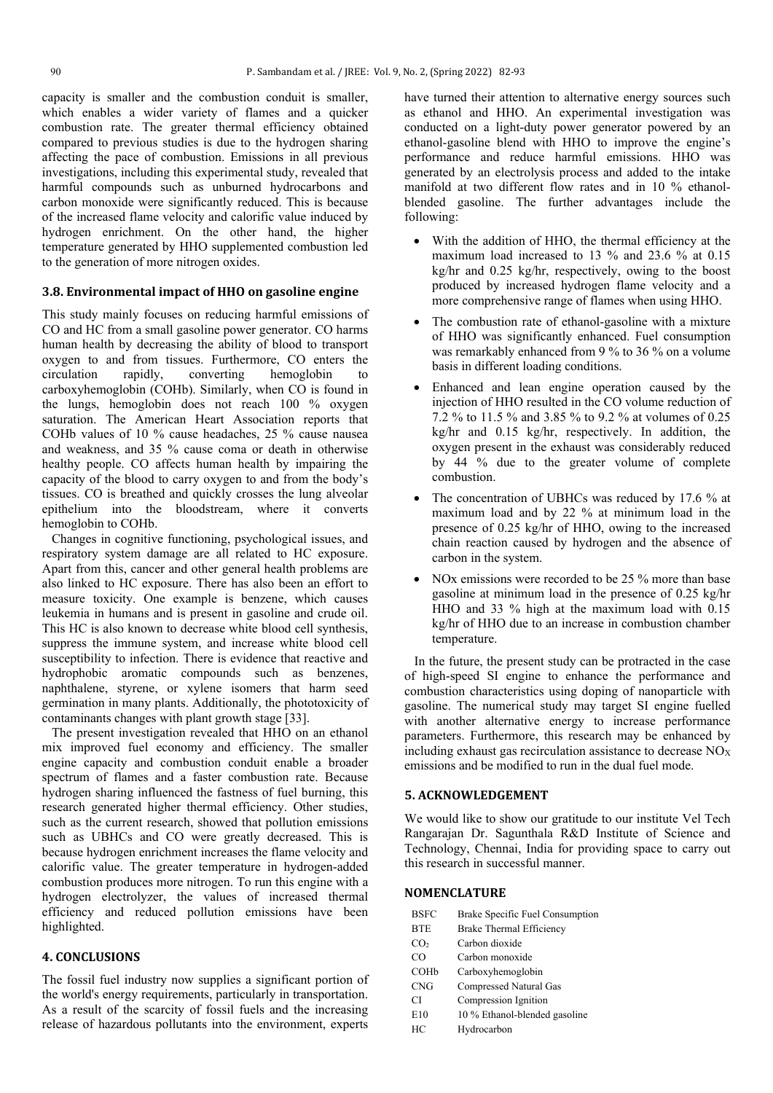capacity is smaller and the combustion conduit is smaller, which enables a wider variety of flames and a quicker combustion rate. The greater thermal efficiency obtained compared to previous studies is due to the hydrogen sharing affecting the pace of combustion. Emissions in all previous investigations, including this experimental study, revealed that harmful compounds such as unburned hydrocarbons and carbon monoxide were significantly reduced. This is because of the increased flame velocity and calorific value induced by hydrogen enrichment. On the other hand, the higher temperature generated by HHO supplemented combustion led to the generation of more nitrogen oxides.

## **3.8. Environmental impact of HHO on gasoline engine**

This study mainly focuses on reducing harmful emissions of CO and HC from a small gasoline power generator. CO harms human health by decreasing the ability of blood to transport oxygen to and from tissues. Furthermore, CO enters the circulation rapidly, converting hemoglobin to carboxyhemoglobin (COHb). Similarly, when CO is found in the lungs, hemoglobin does not reach 100 % oxygen saturation. The American Heart Association reports that COHb values of 10 % cause headaches, 25 % cause nausea and weakness, and 35 % cause coma or death in otherwise healthy people. CO affects human health by impairing the capacity of the blood to carry oxygen to and from the body's tissues. CO is breathed and quickly crosses the lung alveolar epithelium into the bloodstream, where it converts hemoglobin to COHb.

 Changes in cognitive functioning, psychological issues, and respiratory system damage are all related to HC exposure. Apart from this, cancer and other general health problems are also linked to HC exposure. There has also been an effort to measure toxicity. One example is benzene, which causes leukemia in humans and is present in gasoline and crude oil. This HC is also known to decrease white blood cell synthesis, suppress the immune system, and increase white blood cell susceptibility to infection. There is evidence that reactive and hydrophobic aromatic compounds such as benzenes, naphthalene, styrene, or xylene isomers that harm seed germination in many plants. Additionally, the phototoxicity of contaminants changes with plant growth stage [33].

 The present investigation revealed that HHO on an ethanol mix improved fuel economy and efficiency. The smaller engine capacity and combustion conduit enable a broader spectrum of flames and a faster combustion rate. Because hydrogen sharing influenced the fastness of fuel burning, this research generated higher thermal efficiency. Other studies, such as the current research, showed that pollution emissions such as UBHCs and CO were greatly decreased. This is because hydrogen enrichment increases the flame velocity and calorific value. The greater temperature in hydrogen-added combustion produces more nitrogen. To run this engine with a hydrogen electrolyzer, the values of increased thermal efficiency and reduced pollution emissions have been highlighted.

## **4. CONCLUSIONS**

The fossil fuel industry now supplies a significant portion of the world's energy requirements, particularly in transportation. As a result of the scarcity of fossil fuels and the increasing release of hazardous pollutants into the environment, experts

have turned their attention to alternative energy sources such as ethanol and HHO. An experimental investigation was conducted on a light-duty power generator powered by an ethanol-gasoline blend with HHO to improve the engine's performance and reduce harmful emissions. HHO was generated by an electrolysis process and added to the intake manifold at two different flow rates and in 10 % ethanolblended gasoline. The further advantages include the following:

- With the addition of HHO, the thermal efficiency at the maximum load increased to 13 % and 23.6 % at 0.15 kg/hr and 0.25 kg/hr, respectively, owing to the boost produced by increased hydrogen flame velocity and a more comprehensive range of flames when using HHO.
- The combustion rate of ethanol-gasoline with a mixture of HHO was significantly enhanced. Fuel consumption was remarkably enhanced from 9 % to 36 % on a volume basis in different loading conditions.
- Enhanced and lean engine operation caused by the injection of HHO resulted in the CO volume reduction of 7.2 % to 11.5 % and 3.85 % to 9.2 % at volumes of 0.25 kg/hr and 0.15 kg/hr, respectively. In addition, the oxygen present in the exhaust was considerably reduced by 44 % due to the greater volume of complete combustion.
- The concentration of UBHCs was reduced by 17.6 % at maximum load and by 22 % at minimum load in the presence of 0.25 kg/hr of HHO, owing to the increased chain reaction caused by hydrogen and the absence of carbon in the system.
- NO<sub>x</sub> emissions were recorded to be 25 % more than base gasoline at minimum load in the presence of 0.25 kg/hr HHO and 33 % high at the maximum load with 0.15 kg/hr of HHO due to an increase in combustion chamber temperature.

 In the future, the present study can be protracted in the case of high-speed SI engine to enhance the performance and combustion characteristics using doping of nanoparticle with gasoline. The numerical study may target SI engine fuelled with another alternative energy to increase performance parameters. Furthermore, this research may be enhanced by including exhaust gas recirculation assistance to decrease  $NO<sub>X</sub>$ emissions and be modified to run in the dual fuel mode.

#### **5. ACKNOWLEDGEMENT**

We would like to show our gratitude to our institute Vel Tech Rangarajan Dr. Sagunthala R&D Institute of Science and Technology, Chennai, India for providing space to carry out this research in successful manner.

#### **NOMENCLATURE**

BSFC Brake Specific Fuel Consumption BTE Brake Thermal Efficiency CO<sub>2</sub> Carbon dioxide CO Carbon monoxide COHb Carboxyhemoglobin CNG Compressed Natural Gas CI Compression Ignition E10 10 % Ethanol-blended gasoline

- 
- HC Hydrocarbon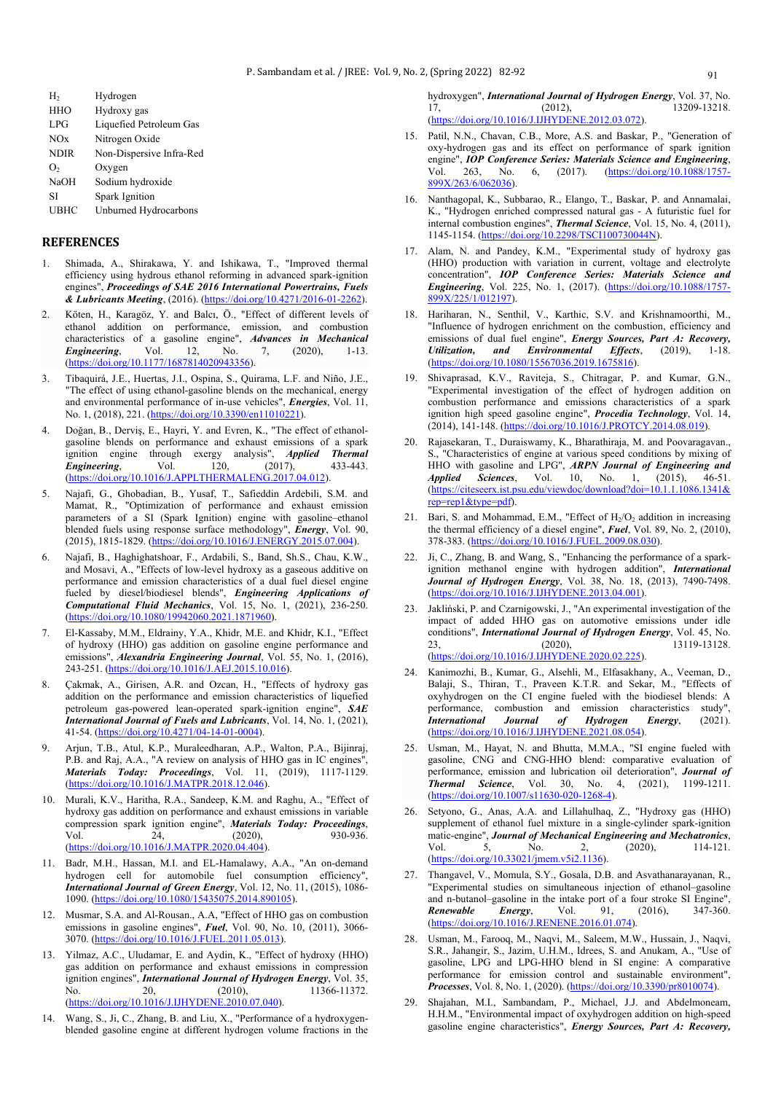| H,          | Hydrogen                 |
|-------------|--------------------------|
| <b>HHO</b>  | Hydroxy gas              |
| LPG         | Liquefied Petroleum Gas  |
| NOx         | Nitrogen Oxide           |
| <b>NDIR</b> | Non-Dispersive Infra-Red |
| О,          | Oxygen                   |
| <b>NaOH</b> | Sodium hydroxide         |
| SI          | <b>Spark Ignition</b>    |
| UBHC        | Unburned Hydrocarbons    |

#### **REFERENCES**

- 1. Shimada, A., Shirakawa, Y. and Ishikawa, T., "Improved thermal efficiency using hydrous ethanol reforming in advanced spark-ignition engines", *Proceedings of SAE 2016 International Powertrains, Fuels & Lubricants Meeting*, (2016). [\(https://doi.org/10.4271/2016-01-2262\)](https://doi.org/10.4271/2016-01-2262).
- 2. Köten, H., Karagöz, Y. and Balcı, Ö., "Effect of different levels of ethanol addition on performance, emission, and combustion characteristics of a gasoline engine", *Advances in Mechanical Engineering*, Vol. 12, No. 7, (2020), 1-13. **Engineering**, Vol. 12, No. 7, (2020), 1-13. [\(https://doi.org/10.1177/1687814020943356\)](https://doi.org/10.1177/1687814020943356).
- 3. Tibaquirá, J.E., Huertas, J.I., Ospina, S., Quirama, L.F. and Niño, J.E., "The effect of using ethanol-gasoline blends on the mechanical, energy and environmental performance of in-use vehicles", *Energies*, Vol. 11, No. 1, (2018), 221. (https://doi.org/10.3390/en11010221).
- 4. Doğan, B., Derviş, E., Hayri, Y. and Evren, K., "The effect of ethanolgasoline blends on performance and exhaust emissions of a spark ignition engine through exergy analysis", *Applied Thermal*<br> *Engineering*, Vol. 120, (2017), 433-443. *Engineering*, Vol. 120, (2017), 433-443. (https://doi.org/10.1016/J.APPLTHERMALENG.2017.04.012).
- 5. Najafi, G., Ghobadian, B., Yusaf, T., Safieddin Ardebili, S.M. and Mamat, R., "Optimization of performance and exhaust emission parameters of a SI (Spark Ignition) engine with gasoline–ethanol blended fuels using response surface methodology", *Energy*, Vol. 90, (2015), 1815-1829. (https://doi.org/10.1016/J.ENERGY.2015.07.004).
- 6. Najafi, B., Haghighatshoar, F., Ardabili, S., Band, Sh.S., Chau, K.W., and Mosavi, A., "Effects of low-level hydroxy as a gaseous additive on performance and emission characteristics of a dual fuel diesel engine fueled by diesel/biodiesel blends", *Engineering Applications of Computational Fluid Mechanics*, Vol. 15, No. 1, (2021), 236-250. (https://doi.org/10.1080/19942060.2021.1871960).
- El-Kassaby, M.M., Eldrainy, Y.A., Khidr, M.E. and Khidr, K.I., "Effect of hydroxy (HHO) gas addition on gasoline engine performance and emissions", *Alexandria Engineering Journal*, Vol. 55, No. 1, (2016), 243-251. (https://doi.org/10.1016/J.AEJ.2015.10.016).
- 8. Çakmak, A., Girisen, A.R. and Ozcan, H., "Effects of hydroxy gas addition on the performance and emission characteristics of liquefied petroleum gas-powered lean-operated spark-ignition engine", *SAE International Journal of Fuels and Lubricants*, Vol. 14, No. 1, (2021), 41-54. [\(https://doi.org/10.4271/04-14-01-0004\).](https://doi.org/10.4271/04-14-01-0004)
- 9. Arjun, T.B., Atul, K.P., Muraleedharan, A.P., Walton, P.A., Bijinraj, P.B. and Raj, A.A., "A review on analysis of HHO gas in IC engines", *Materials Today: Proceedings*, Vol. 11, (2019), 1117-1129. (https://doi.org/10.1016/J.MATPR.2018.12.046).
- 10. Murali, K.V., Haritha, R.A., Sandeep, K.M. and Raghu, A., "Effect of hydroxy gas addition on performance and exhaust emissions in variable compression spark ignition engine", *Materials Today: Proceedings*, Vol. 24, (2020), 930-936. (https://doi.org/10.1016/J.MATPR.2020.04.404).
- 11. Badr, M.H., Hassan, M.I. and EL-Hamalawy, A.A., "An on-demand hydrogen cell for automobile fuel consumption efficiency", *International Journal of Green Energy*, Vol. 12, No. 11, (2015), 1086- 1090. (https://doi.org/10.1080/15435075.2014.890105).
- 12. Musmar, S.A. and Al-Rousan., A.A, "Effect of HHO gas on combustion emissions in gasoline engines", *Fuel*, Vol. 90, No. 10, (2011), 3066- 3070. (https://doi.org/10.1016/J.FUEL.2011.05.013).
- 13. Yilmaz, A.C., Uludamar, E. and Aydin, K., "Effect of hydroxy (HHO) gas addition on performance and exhaust emissions in compression ignition engines", *International Journal of Hydrogen Energy*, Vol. 35, No. 20, (2010), 11366-11372. (https://doi.org/10.1016/J.IJHYDENE.2010.07.040).
- 14. Wang, S., Ji, C., Zhang, B. and Liu, X., "Performance of a hydroxygenblended gasoline engine at different hydrogen volume fractions in the

hydroxygen", *International Journal of Hydrogen Energy*, Vol. 37, No. 17, (2012), 13209-13218. (https://doi.org/10.1016/J.IJHYDENE.2012.03.072).

- 15. Patil, N.N., Chavan, C.B., More, A.S. and Baskar, P., "Generation of oxy-hydrogen gas and its effect on performance of spark ignition engine", *IOP Conference Series: Materials Science and Engineering*, Vol. 263, No. 6, (2017). (https://doi.org/10.1088/1757-Vol. 263, No. 6, (2017). (https://doi.org/10.1088/1757- 899X/263/6/062036).
- 16. Nanthagopal, K., Subbarao, R., Elango, T., Baskar, P. and Annamalai, K., "Hydrogen enriched compressed natural gas - A futuristic fuel for internal combustion engines", *Thermal Science*, Vol. 15, No. 4, (2011), 1145-1154. (https://doi.org/10.2298/TSCI100730044N).
- 17. Alam, N. and Pandey, K.M., "Experimental study of hydroxy gas (HHO) production with variation in current, voltage and electrolyte concentration", *IOP Conference Series: Materials Science and Engineering*, Vol. 225, No. 1, (2017). (https://doi.org/10.1088/1757- 899X/225/1/012197).
- 18. Hariharan, N., Senthil, V., Karthic, S.V. and Krishnamoorthi, M., "Influence of hydrogen enrichment on the combustion, efficiency and emissions of dual fuel engine", *Energy Sources, Part A: Recovery, Utilization, and Environmental Effects*, (2019), 1-18. *Utilization, and Environmental Effects*, (2019), 1-18. (https://doi.org/10.1080/15567036.2019.1675816).
- 19. Shivaprasad, K.V., Raviteja, S., Chitragar, P. and Kumar, G.N., "Experimental investigation of the effect of hydrogen addition on combustion performance and emissions characteristics of a spark ignition high speed gasoline engine", *Procedia Technology*, Vol. 14, (2014), 141-148. (https://doi.org/10.1016/J.PROTCY.2014.08.019).
- 20. Rajasekaran, T., Duraiswamy, K., Bharathiraja, M. and Poovaragavan., S., "Characteristics of engine at various speed conditions by mixing of HHO with gasoline and LPG", *ARPN Journal of Engineering and Applied Sciences*, Vol. 10, No. 1, (2015), 46-51. [\(https://citeseerx.ist.psu.edu/viewdoc/download?doi=10.1.1.1086.1341&](https://citeseerx.ist.psu.edu/viewdoc/download?doi=10.1.1.1086.1341&rep=rep1&type=pdf) [rep=rep1&type=pdf\)](https://citeseerx.ist.psu.edu/viewdoc/download?doi=10.1.1.1086.1341&rep=rep1&type=pdf).
- Bari, S. and Mohammad, E.M., "Effect of  $H_2/O_2$  addition in increasing the thermal efficiency of a diesel engine", *Fuel*, Vol. 89, No. 2, (2010), 378-383. (https://doi.org/10.1016/J.FUEL.2009.08.030).
- 22. Ji, C., Zhang, B. and Wang, S., "Enhancing the performance of a sparkignition methanol engine with hydrogen addition", *International Journal of Hydrogen Energy*, Vol. 38, No. 18, (2013), 7490-7498. (https://doi.org/10.1016/J.IJHYDENE.2013.04.001).
- 23. Jakliński, P. and Czarnigowski, J., "An experimental investigation of the impact of added HHO gas on automotive emissions under idle conditions", *International Journal of Hydrogen Energy*, Vol. 45, No.<br>23, (2020), 13119-13128. 23, (2020), 13119-13128. (https://doi.org/10.1016/J.IJHYDENE.2020.02.225).
- 24. Kanimozhi, B., Kumar, G., Alsehli, M., Elfasakhany, A., Veeman, D., Balaji, S., Thiran, T., Praveen K.T.R. and Sekar, M., "Effects of oxyhydrogen on the CI engine fueled with the biodiesel blends: A performance, combustion and emission characteristics study", *International Journal of Hydrogen Energy*, (2021). (https://doi.org/10.1016/J.IJHYDENE.2021.08.054).
- 25. Usman, M., Hayat, N. and Bhutta, M.M.A., "SI engine fueled with gasoline, CNG and CNG-HHO blend: comparative evaluation of performance, emission and lubrication oil deterioration", *Journal of Thermal Science*, Vol. 30, No. 4, (2021), 1199-1211. (https://doi.org/10.1007/s11630-020-1268-4).
- 26. Setyono, G., Anas, A.A. and Lillahulhaq, Z., "Hydroxy gas (HHO) supplement of ethanol fuel mixture in a single-cylinder spark-ignition matic-engine", *Journal of Mechanical Engineering and Mechatronics*,<br>Vol 5. No. 2. (2020), 114-121. Vol. 5, No. 2, (2020), 114-121. (https://doi.org/10.33021/jmem.v5i2.1136).
- 27. Thangavel, V., Momula, S.Y., Gosala, D.B. and Asvathanarayanan, R., "Experimental studies on simultaneous injection of ethanol–gasoline and n-butanol–gasoline in the intake port of a four stroke SI Engine", *Renewable Energy*, Vol. 91, (2016), 347-360. (https://doi.org/10.1016/J.RENENE.2016.01.074).
- 28. Usman, M., Farooq, M., Naqvi, M., Saleem, M.W., Hussain, J., Naqvi, S.R., Jahangir, S., Jazim, U.H.M., Idrees, S. and Anukam, A., "Use of gasoline, LPG and LPG-HHO blend in SI engine: A comparative performance for emission control and sustainable environment", *Processes*, Vol. 8, No. 1, (2020). (https://doi.org/10.3390/pr8010074).
- 29. Shajahan, M.I., Sambandam, P., Michael, J.J. and Abdelmoneam, H.H.M., "Environmental impact of oxyhydrogen addition on high-speed gasoline engine characteristics", *Energy Sources, Part A: Recovery,*